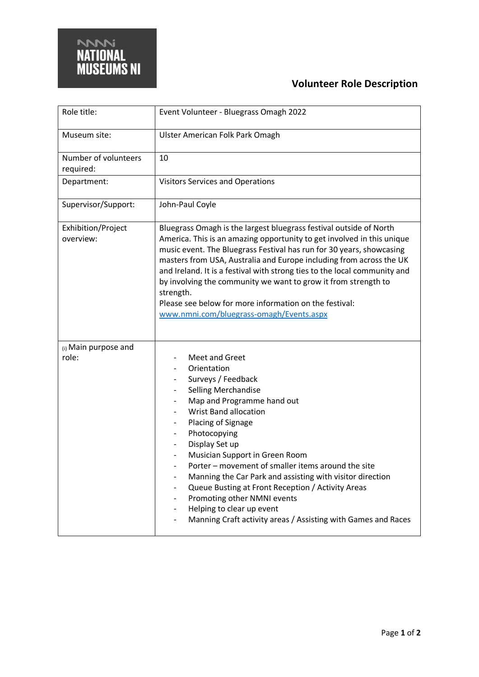

## **Volunteer Role Description**

| Role title:                        | Event Volunteer - Bluegrass Omagh 2022                                                                                                                                                                                                                                                                                                                                                                                                                                                                                                                                                                      |
|------------------------------------|-------------------------------------------------------------------------------------------------------------------------------------------------------------------------------------------------------------------------------------------------------------------------------------------------------------------------------------------------------------------------------------------------------------------------------------------------------------------------------------------------------------------------------------------------------------------------------------------------------------|
| Museum site:                       | Ulster American Folk Park Omagh                                                                                                                                                                                                                                                                                                                                                                                                                                                                                                                                                                             |
| Number of volunteers<br>required:  | 10                                                                                                                                                                                                                                                                                                                                                                                                                                                                                                                                                                                                          |
| Department:                        | <b>Visitors Services and Operations</b>                                                                                                                                                                                                                                                                                                                                                                                                                                                                                                                                                                     |
| Supervisor/Support:                | John-Paul Coyle                                                                                                                                                                                                                                                                                                                                                                                                                                                                                                                                                                                             |
| Exhibition/Project<br>overview:    | Bluegrass Omagh is the largest bluegrass festival outside of North<br>America. This is an amazing opportunity to get involved in this unique<br>music event. The Bluegrass Festival has run for 30 years, showcasing<br>masters from USA, Australia and Europe including from across the UK<br>and Ireland. It is a festival with strong ties to the local community and<br>by involving the community we want to grow it from strength to<br>strength.<br>Please see below for more information on the festival:<br>www.nmni.com/bluegrass-omagh/Events.aspx                                               |
| $_{(i)}$ Main purpose and<br>role: | Meet and Greet<br>Orientation<br>Surveys / Feedback<br><b>Selling Merchandise</b><br>Map and Programme hand out<br><b>Wrist Band allocation</b><br>Placing of Signage<br>Photocopying<br>Display Set up<br>Musician Support in Green Room<br>Porter - movement of smaller items around the site<br>Manning the Car Park and assisting with visitor direction<br>-<br>Queue Busting at Front Reception / Activity Areas<br>$\overline{\phantom{0}}$<br>Promoting other NMNI events<br>Helping to clear up event<br>$\overline{\phantom{a}}$<br>Manning Craft activity areas / Assisting with Games and Races |